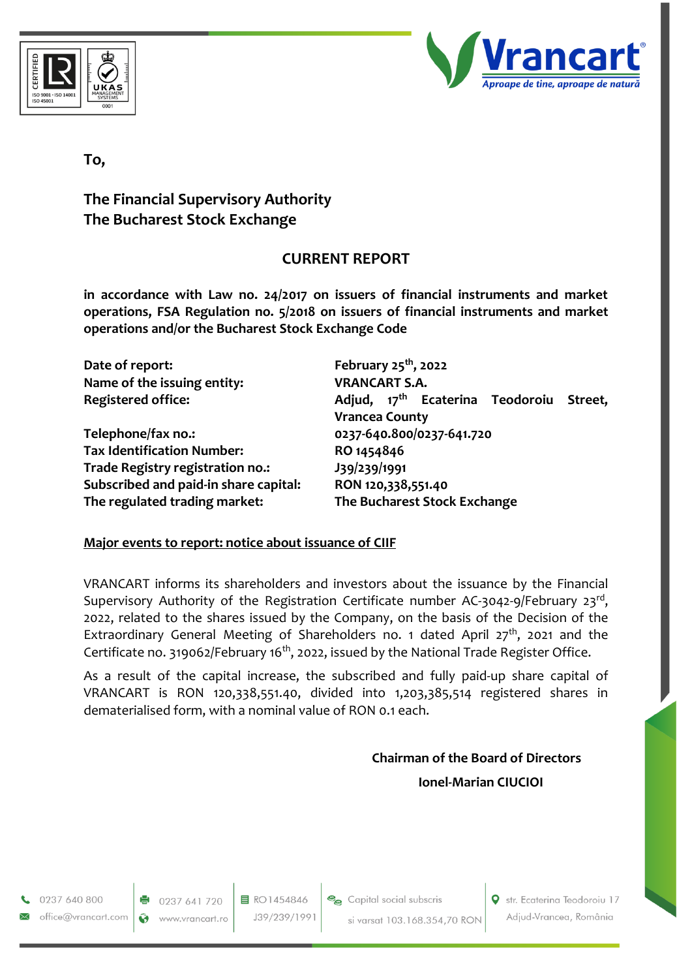



## **To,**

# **The Financial Supervisory Authority The Bucharest Stock Exchange**

## **CURRENT REPORT**

**in accordance with Law no. 24/2017 on issuers of financial instruments and market operations, FSA Regulation no. 5/2018 on issuers of financial instruments and market operations and/or the Bucharest Stock Exchange Code**

| Date of report:                       | February $25th$ , 2022                                                          |
|---------------------------------------|---------------------------------------------------------------------------------|
| Name of the issuing entity:           | <b>VRANCART S.A.</b>                                                            |
| <b>Registered office:</b>             | Adjud, 17 <sup>th</sup> Ecaterina Teodoroiu<br>Street,<br><b>Vrancea County</b> |
| Telephone/fax no.:                    | 0237-640.800/0237-641.720                                                       |
| <b>Tax Identification Number:</b>     | RO 1454846                                                                      |
| Trade Registry registration no.:      | J39/239/1991                                                                    |
| Subscribed and paid-in share capital: | RON 120,338,551.40                                                              |
| The regulated trading market:         | The Bucharest Stock Exchange                                                    |

#### **Major events to report: notice about issuance of CIIF**

VRANCART informs its shareholders and investors about the issuance by the Financial Supervisory Authority of the Registration Certificate number AC-3042-9/February 23rd, 2022, related to the shares issued by the Company, on the basis of the Decision of the Extraordinary General Meeting of Shareholders no. 1 dated April 27<sup>th</sup>, 2021 and the Certificate no. 319062/February 16<sup>th</sup>, 2022, issued by the National Trade Register Office.

As a result of the capital increase, the subscribed and fully paid-up share capital of VRANCART is RON 120,338,551.40, divided into 1,203,385,514 registered shares in dematerialised form, with a nominal value of RON 0.1 each.

# **Chairman of the Board of Directors Ionel-Marian CIUCIOI**

0237 640 800 office@vrancart.com

0237 641 720 Ø www.vrancart.ro

目 RO1454846 J39/239/1991



Str. Ecaterina Teodoroiu 17 Adjud-Vrancea, România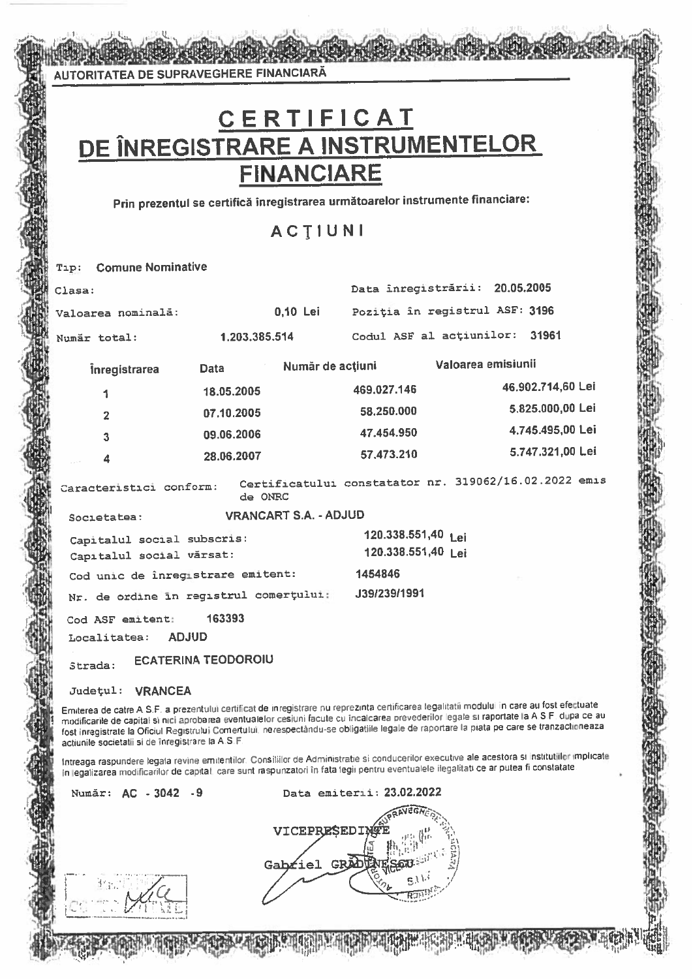AUTORITATEA DE SUPRAVEGHERE FINANCIARĂ

# CERTIFICAT DE ÎNREGISTRARE A INSTRUMENTELOR **FINANCIARE**

Prin prezentul se certifică înregistrarea următoarelor instrumente financiare:

# **ACTIUNI**

#### Tip: Comune Nominative Data înregistrării: 20.05.2005 Clasa: Poziția în registrul ASF: 3196 0,10 Lei Valoarea nominală: 1.203.385.514 Codul ASF al actiunilor: 31961 Numär total: Valoarea emisiunii Număr de actiuni *inregistrarea* **Data** 46.902.714,60 Lei 469.027.146 18.05.2005 1 5.825.000,00 Lei 07.10.2005 58.250.000  $\overline{2}$ 4.745.495,00 Lei 47.454.950 09.06.2006  $\overline{\mathbf{3}}$ 5.747.321.00 Lei 57.473.210 28.06.2007 Certificatului constatator nr. 319062/16.02.2022 emis Caracteristici conform: de ONRC **VRANCART S.A. - ADJUD** Societatea: 120.338.551,40 Lai Capitalul social subscris: 120.338.551,40 Lei Capitalul social vărsat: Cod unic de înregistrare emitent: 1454846 J39/239/1991 Nr. de ordine in registrul comerțului: Cod ASF emitent: 163393 Localitatea: **ADJUD ECATERINA TEODOROIU** Strada: Județul: VRANCEA Emiterea de catre A.S.F. a prezentului certificat de inregistrare nu reprezinta certificarea legalitatii modului în care au fost efectuate modificarile de capital si nici aprobarea eventualelor cesiuni facute cu încalcarea prevederilor legale si raportate la A.S.F. dupa ce au fost inregistrate la Oficiul Registrului Comertului, nerespectandu-se obligatiile legale de raportare la piata pe care se tranzactioneaza actiunile societatii si de înregistrare la A.S.F. Intreaga raspundere legala revine emitentilor, Consiliilor de Administratie si conducerilor executive ale acestora si institutilor implicate in legalizarea modificarilor de capital, care sunt raspunzatori în fata legii pentru eventualele ilegalitati ce ar putea fi constatate.

Numär: AC - 3042 - 9

Data emiterii: 23.02.2022

VICEPRESEDIN Gabriel GRAD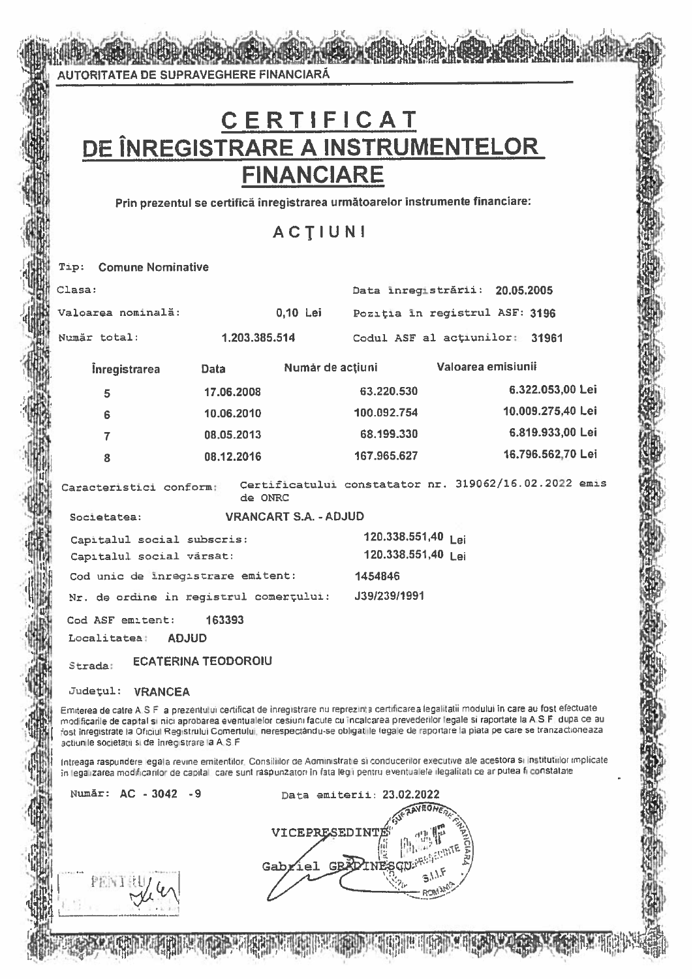AUTORITATEA DE SUPRAVEGHERE FINANCIARĂ

# CERTIFICAT DE ÎNREGISTRARE A INSTRUMENTELOR **FINANCIARE**

Prin prezentul se certifică înregistrarea următoarelor instrumente financiare:

**ACTIUNI** 

#### Tip: Comune Nominative Clasa: Data inregistrării: 20.05.2005 Valoarea nominală: 0.10 Lei Pozitia in registrul ASF: 3196 Număr total: 1.203.385.514 Codul ASF al actiunilor: 31961 Valoarea emisiunii Numár de actiuni *<u>Inregistrarea</u>* **Data** 6.322.053.00 Lei 63.220.530 17.06.2008 5 100.092.754 10.009.275.40 Lei 10.06.2010 ĥ 6.819.933,00 Lei 08.05.2013 68.199.330  $\overline{7}$ 16.796.562.70 Lei 08.12.2016 167.965.627 ġ Certificatului constatator nr. 319062/16.02.2022 emis Caracteristici conform:  $AB$   $QMPC$ **VRANCART S.A. - ADJUD** Societatea: 120.338.551,40 lei Capitalul social subscris: 120.338.551.40 | ai Capitalul social värsat: Cod unic de inregistrare emitent: 1454846 J39/239/1991 Nr. de ordine in registrul comerçului: Cod ASF emitent: 163393 **ADJUD** Localitatea: **ECATERINA TEODOROIU** Strada: Județul: VRANCEA Emiterea de catre A.S.F. a prezentului certificat de inregistrare nu reprezinta certificarea legalitatii modului în care au fost efectuate modificarile de capital si nici aprobarea eventualelor cesiuni facute cu incalcarea prevederilor legale si raportate la A.S.F. dupa ce au fost înregistrate la Oficiul Registrului Comertului, nerespectându-se obligatille legale de raportare la piata pe care se tranzactioneaza actiunile societatii si de înregistrare la A.S.F

Intreaga raspundere legala revine emitentilor. Consiliilor de Administratie si conducerilor executive ale acestora si Institutiilor implicate in legalizarea modificarilor de capital, care sunt raspunzatori în fata legii pentru eventualele ilegalitati ce ar putea fi constatate

Număr: AC - 3042 - 9

Data emiterii: 23.02.2022 VICEPRESEDINTE Gabriel GBA

PENIS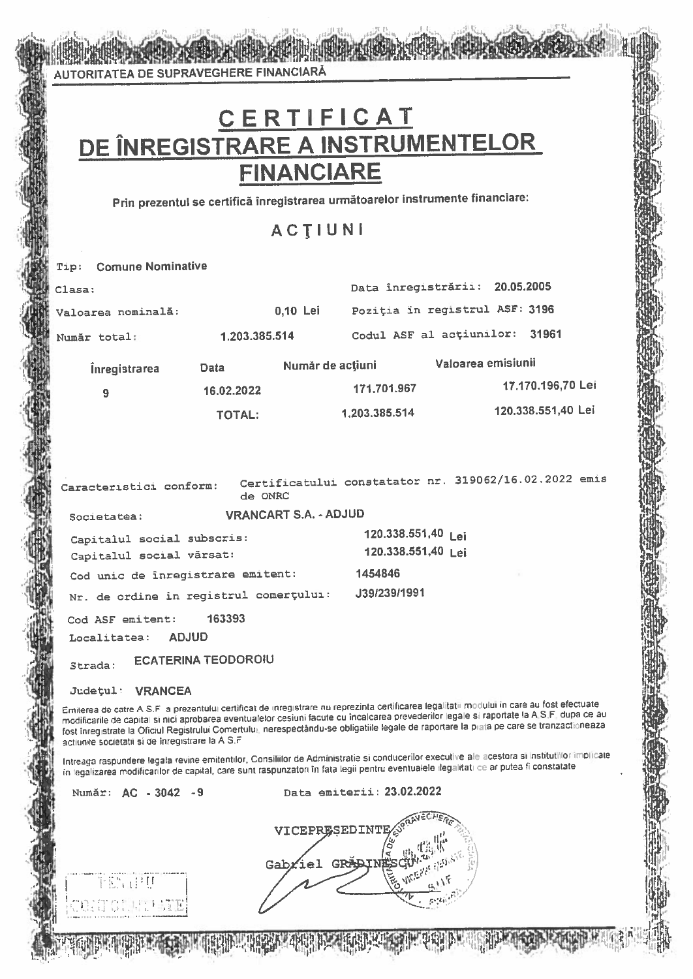AUTORITATEA DE SUPRAVEGHERE FINANCIARĂ

# **DE ÎNREGISTRARE A INSTRUMENTELOR<br>FINANCIARE**

Prin prezentul se certifică înregistrarea următoarelor instrumente financiare:

# ACTIUNI

| Tip:                                                                                                                                                                                                                                                                                                                                                                                                                                                                                    | <b>Comune Nominative</b>                               |               |                              |                                                       |                    |                    |  |  |
|-----------------------------------------------------------------------------------------------------------------------------------------------------------------------------------------------------------------------------------------------------------------------------------------------------------------------------------------------------------------------------------------------------------------------------------------------------------------------------------------|--------------------------------------------------------|---------------|------------------------------|-------------------------------------------------------|--------------------|--------------------|--|--|
| Clasa:                                                                                                                                                                                                                                                                                                                                                                                                                                                                                  |                                                        |               |                              | Data înregistrării: 20.05.2005                        |                    |                    |  |  |
|                                                                                                                                                                                                                                                                                                                                                                                                                                                                                         | Valoarea nominală:                                     |               | 0,10 Lei                     | Poziția în registrul ASF: 3196                        |                    |                    |  |  |
|                                                                                                                                                                                                                                                                                                                                                                                                                                                                                         | Număr total:                                           | 1.203.385.514 |                              | Codul ASF al actiunilor:                              |                    | 31961              |  |  |
|                                                                                                                                                                                                                                                                                                                                                                                                                                                                                         | <i><u><b>Inregistrarea</b></u></i>                     | Data          | Număr de acțiuni             |                                                       | Valoarea emisiunii |                    |  |  |
|                                                                                                                                                                                                                                                                                                                                                                                                                                                                                         | 9                                                      | 16.02.2022    |                              | 171.701.967                                           |                    | 17.170.196,70 Lei  |  |  |
|                                                                                                                                                                                                                                                                                                                                                                                                                                                                                         |                                                        | <b>TOTAL:</b> |                              | 1.203.385.514                                         |                    | 120.338.551,40 Lei |  |  |
|                                                                                                                                                                                                                                                                                                                                                                                                                                                                                         |                                                        |               |                              |                                                       |                    |                    |  |  |
|                                                                                                                                                                                                                                                                                                                                                                                                                                                                                         | Caracteristici conform:                                | de ONRC       |                              | Certificatului constatator nr. 319062/16.02.2022 emis |                    |                    |  |  |
|                                                                                                                                                                                                                                                                                                                                                                                                                                                                                         | Societatea:                                            |               | <b>VRANCART S.A. - ADJUD</b> |                                                       |                    |                    |  |  |
|                                                                                                                                                                                                                                                                                                                                                                                                                                                                                         | Capitalul social subscris:<br>Capitalul social vărsat: |               |                              | 120.338.551,40 Lei<br>120.338.551,40 Lei              |                    |                    |  |  |
|                                                                                                                                                                                                                                                                                                                                                                                                                                                                                         | Cod unic de înregistrare emitent:                      |               |                              | 1454846                                               |                    |                    |  |  |
|                                                                                                                                                                                                                                                                                                                                                                                                                                                                                         | Nr. de ordine în registrul comerțului:                 |               |                              | J39/239/1991                                          |                    |                    |  |  |
|                                                                                                                                                                                                                                                                                                                                                                                                                                                                                         | Cod ASF emitent:                                       | 163393        |                              |                                                       |                    |                    |  |  |
|                                                                                                                                                                                                                                                                                                                                                                                                                                                                                         | Localitatea:                                           | <b>ADJUD</b>  |                              |                                                       |                    |                    |  |  |
| <b>ECATERINA TEODOROIU</b><br>Strada:                                                                                                                                                                                                                                                                                                                                                                                                                                                   |                                                        |               |                              |                                                       |                    |                    |  |  |
|                                                                                                                                                                                                                                                                                                                                                                                                                                                                                         | <b>Judetul:</b><br><b>VRANCEA</b>                      |               |                              |                                                       |                    |                    |  |  |
| Emiterea de catre A.S.F a prezentului certificat de inregistrare nu reprezinta certificarea legalitatii modului în care au fost efectuate<br>modificarile de capital si nici aprobarea eventualelor cesiuni facute cu incalcarea prevederilor legale si raportate la A.S.F. dupa ce au<br>fost inregistrate la Oficiul Registrului Comertului, nerespectàndu-se obligatiile legale de raportare la piata pe care se tranzactioneaza<br>actiunile societatii si de înregistrare la A S.F |                                                        |               |                              |                                                       |                    |                    |  |  |
| Intreaga raspundere legala revine emitentilor, Consiliilor de Administratie si conducerilor executive ale acestora si institutilior implicate<br>in legalizarea modificarilor de capital, care sunt raspunzatori în fata legii pentru eventualele ilegalitati ce ar putea fi constatate                                                                                                                                                                                                 |                                                        |               |                              |                                                       |                    |                    |  |  |
|                                                                                                                                                                                                                                                                                                                                                                                                                                                                                         | Număr: AC - 3042 - 9                                   |               |                              | Data emiterii: 23.02.2022                             |                    |                    |  |  |
| VICEPRESEDINT<br>Gabriel<br><b>TERNATURE</b>                                                                                                                                                                                                                                                                                                                                                                                                                                            |                                                        |               |                              |                                                       |                    |                    |  |  |

TONICI AN THE